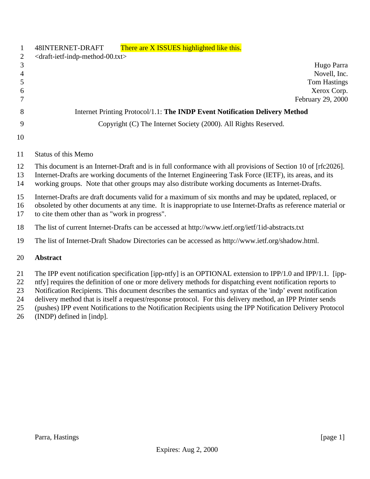| $\mathbf{1}$       | 48INTERNET-DRAFT<br>There are X ISSUES highlighted like this.                                                                                                                                                                                                                                                                                                                                                                                                                                                               |  |  |
|--------------------|-----------------------------------------------------------------------------------------------------------------------------------------------------------------------------------------------------------------------------------------------------------------------------------------------------------------------------------------------------------------------------------------------------------------------------------------------------------------------------------------------------------------------------|--|--|
| 2                  | <draft-ietf-indp-method-00.txt></draft-ietf-indp-method-00.txt>                                                                                                                                                                                                                                                                                                                                                                                                                                                             |  |  |
| 3                  | Hugo Parra                                                                                                                                                                                                                                                                                                                                                                                                                                                                                                                  |  |  |
| $\overline{4}$     | Novell, Inc.                                                                                                                                                                                                                                                                                                                                                                                                                                                                                                                |  |  |
| 5                  | <b>Tom Hastings</b>                                                                                                                                                                                                                                                                                                                                                                                                                                                                                                         |  |  |
| 6                  | Xerox Corp.                                                                                                                                                                                                                                                                                                                                                                                                                                                                                                                 |  |  |
| 7                  | February 29, 2000                                                                                                                                                                                                                                                                                                                                                                                                                                                                                                           |  |  |
| 8                  | Internet Printing Protocol/1.1: The INDP Event Notification Delivery Method                                                                                                                                                                                                                                                                                                                                                                                                                                                 |  |  |
| 9                  | Copyright (C) The Internet Society (2000). All Rights Reserved.                                                                                                                                                                                                                                                                                                                                                                                                                                                             |  |  |
| 10                 |                                                                                                                                                                                                                                                                                                                                                                                                                                                                                                                             |  |  |
| 11                 | <b>Status of this Memo</b>                                                                                                                                                                                                                                                                                                                                                                                                                                                                                                  |  |  |
| 12<br>13<br>14     | This document is an Internet-Draft and is in full conformance with all provisions of Section 10 of [rfc2026].<br>Internet-Drafts are working documents of the Internet Engineering Task Force (IETF), its areas, and its<br>working groups. Note that other groups may also distribute working documents as Internet-Drafts.                                                                                                                                                                                                |  |  |
| 15<br>16<br>17     | Internet-Drafts are draft documents valid for a maximum of six months and may be updated, replaced, or<br>obsoleted by other documents at any time. It is inappropriate to use Internet-Drafts as reference material or<br>to cite them other than as "work in progress".                                                                                                                                                                                                                                                   |  |  |
| 18                 | The list of current Internet-Drafts can be accessed at http://www.ietf.org/ietf/1id-abstracts.txt                                                                                                                                                                                                                                                                                                                                                                                                                           |  |  |
| 19                 | The list of Internet-Draft Shadow Directories can be accessed as http://www.ietf.org/shadow.html.                                                                                                                                                                                                                                                                                                                                                                                                                           |  |  |
| 20                 | <b>Abstract</b>                                                                                                                                                                                                                                                                                                                                                                                                                                                                                                             |  |  |
| 21<br>22<br>$\sim$ | The IPP event notification specification [ipp-ntfy] is an OPTIONAL extension to IPP/1.0 and IPP/1.1. [ipp-<br>ntfy] requires the definition of one or more delivery methods for dispatching event notification reports to<br>$\mathbf{M}$ and the state $\mathbf{M}$ and the state $\mathbf{M}$ and $\mathbf{M}$ and $\mathbf{M}$ and $\mathbf{M}$ and $\mathbf{M}$ and $\mathbf{M}$ and $\mathbf{M}$ and $\mathbf{M}$ and $\mathbf{M}$ and $\mathbf{M}$ and $\mathbf{M}$ and $\mathbf{M}$ and $\mathbf{M}$ and $\mathbf{M$ |  |  |

 Notification Recipients. This document describes the semantics and syntax of the 'indp' event notification delivery method that is itself a request/response protocol. For this delivery method, an IPP Printer sends

(pushes) IPP event Notifications to the Notification Recipients using the IPP Notification Delivery Protocol

(INDP) defined in [indp].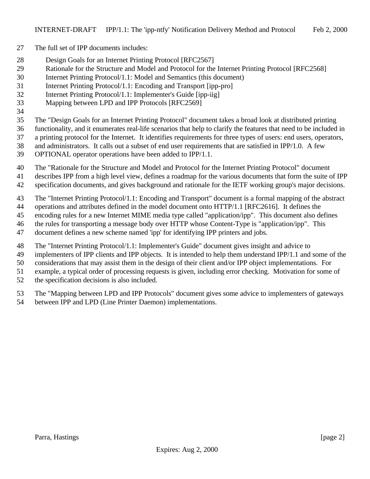- The full set of IPP documents includes:
- Design Goals for an Internet Printing Protocol [RFC2567]
- Rationale for the Structure and Model and Protocol for the Internet Printing Protocol [RFC2568]
- Internet Printing Protocol/1.1: Model and Semantics (this document)
- Internet Printing Protocol/1.1: Encoding and Transport [ipp-pro]
- Internet Printing Protocol/1.1: Implementer's Guide [ipp-iig]
- Mapping between LPD and IPP Protocols [RFC2569]
- 

The "Design Goals for an Internet Printing Protocol" document takes a broad look at distributed printing

- functionality, and it enumerates real-life scenarios that help to clarify the features that need to be included in
- a printing protocol for the Internet. It identifies requirements for three types of users: end users, operators,
- and administrators. It calls out a subset of end user requirements that are satisfied in IPP/1.0. A few
- OPTIONAL operator operations have been added to IPP/1.1.
- The "Rationale for the Structure and Model and Protocol for the Internet Printing Protocol" document
- describes IPP from a high level view, defines a roadmap for the various documents that form the suite of IPP
- specification documents, and gives background and rationale for the IETF working group's major decisions.
- The "Internet Printing Protocol/1.1: Encoding and Transport" document is a formal mapping of the abstract
- operations and attributes defined in the model document onto HTTP/1.1 [RFC2616]. It defines the
- encoding rules for a new Internet MIME media type called "application/ipp". This document also defines
- the rules for transporting a message body over HTTP whose Content-Type is "application/ipp". This
- document defines a new scheme named 'ipp' for identifying IPP printers and jobs.
- The "Internet Printing Protocol/1.1: Implementer's Guide" document gives insight and advice to
- implementers of IPP clients and IPP objects. It is intended to help them understand IPP/1.1 and some of the
- considerations that may assist them in the design of their client and/or IPP object implementations. For
- example, a typical order of processing requests is given, including error checking. Motivation for some of
- the specification decisions is also included.
- The "Mapping between LPD and IPP Protocols" document gives some advice to implementers of gateways
- between IPP and LPD (Line Printer Daemon) implementations.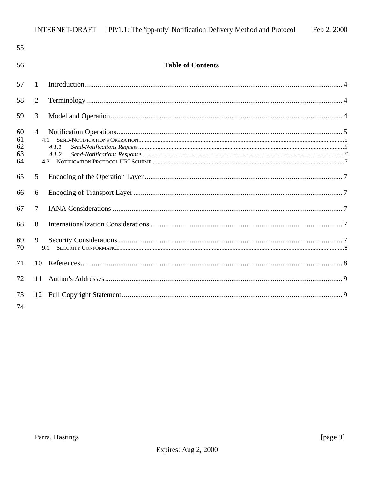| 55                         |                                         |  |
|----------------------------|-----------------------------------------|--|
| 56                         | <b>Table of Contents</b>                |  |
| 57                         | 1                                       |  |
| 58                         | 2                                       |  |
| 59                         | 3                                       |  |
| 60<br>61<br>62<br>63<br>64 | $\overline{4}$<br>4.1<br>4.1.1<br>4.1.2 |  |
| 65                         | 5                                       |  |
| 66                         | 6                                       |  |
| 67                         | $\tau$                                  |  |
| 68                         | 8                                       |  |
| 69<br>70                   | 9<br>9.1                                |  |
| 71                         | 10                                      |  |
| 72                         | 11                                      |  |
| 73<br>74                   |                                         |  |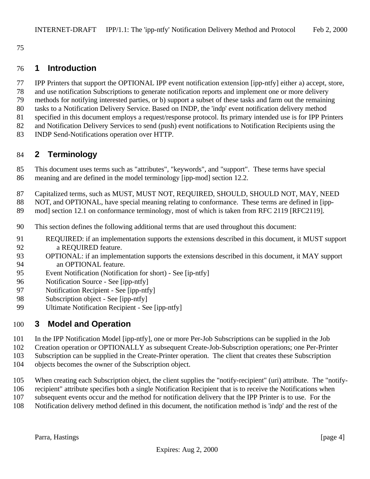### **1 Introduction**

- IPP Printers that support the OPTIONAL IPP event notification extension [ipp-ntfy] either a) accept, store,
- and use notification Subscriptions to generate notification reports and implement one or more delivery
- methods for notifying interested parties, or b) support a subset of these tasks and farm out the remaining
- tasks to a Notification Delivery Service. Based on INDP, the 'indp' event notification delivery method
- specified in this document employs a request/response protocol. Its primary intended use is for IPP Printers
- and Notification Delivery Services to send (push) event notifications to Notification Recipients using the
- INDP Send-Notifications operation over HTTP.

# **2 Terminology**

- This document uses terms such as "attributes", "keywords", and "support". These terms have special meaning and are defined in the model terminology [ipp-mod] section 12.2.
- Capitalized terms, such as MUST, MUST NOT, REQUIRED, SHOULD, SHOULD NOT, MAY, NEED
- NOT, and OPTIONAL, have special meaning relating to conformance. These terms are defined in [ipp-
- 89 mod] section 12.1 on conformance terminology, most of which is taken from RFC 2119 [RFC2119].
- This section defines the following additional terms that are used throughout this document:
- REQUIRED: if an implementation supports the extensions described in this document, it MUST support a REQUIRED feature.
- OPTIONAL: if an implementation supports the extensions described in this document, it MAY support an OPTIONAL feature.
- Event Notification (Notification for short) See [ip-ntfy]
- Notification Source See [ipp-ntfy]
- Notification Recipient See [ipp-ntfy]
- Subscription object See [ipp-ntfy]
- Ultimate Notification Recipient See [ipp-ntfy]

## **3 Model and Operation**

- In the IPP Notification Model [ipp-ntfy], one or more Per-Job Subscriptions can be supplied in the Job
- Creation operation or OPTIONALLY as subsequent Create-Job-Subscription operations; one Per-Printer
- Subscription can be supplied in the Create-Printer operation. The client that creates these Subscription
- objects becomes the owner of the Subscription object.
- When creating each Subscription object, the client supplies the "notify-recipient" (uri) attribute. The "notify-
- recipient" attribute specifies both a single Notification Recipient that is to receive the Notifications when
- subsequent events occur and the method for notification delivery that the IPP Printer is to use. For the
- Notification delivery method defined in this document, the notification method is 'indp' and the rest of the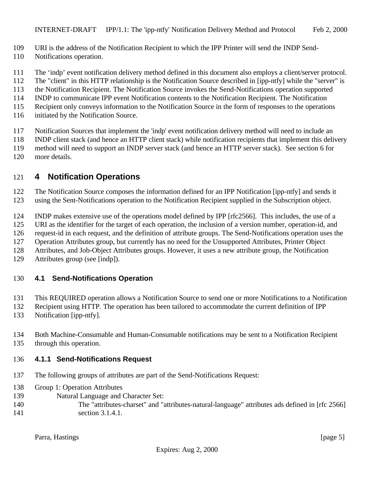- URI is the address of the Notification Recipient to which the IPP Printer will send the INDP Send-
- Notifications operation.
- The 'indp' event notification delivery method defined in this document also employs a client/server protocol.
- The "client" in this HTTP relationship is the Notification Source described in [ipp-ntfy] while the "server" is
- the Notification Recipient. The Notification Source invokes the Send-Notifications operation supported
- INDP to communicate IPP event Notification contents to the Notification Recipient. The Notification
- Recipient only conveys information to the Notification Source in the form of responses to the operations
- initiated by the Notification Source.
- Notification Sources that implement the 'indp' event notification delivery method will need to include an
- INDP client stack (and hence an HTTP client stack) while notification recipients that implement this delivery
- method will need to support an INDP server stack (and hence an HTTP server stack). See section 6 for
- more details.

# **4 Notification Operations**

 The Notification Source composes the information defined for an IPP Notification [ipp-ntfy] and sends it using the Sent-Notifications operation to the Notification Recipient supplied in the Subscription object.

INDP makes extensive use of the operations model defined by IPP [rfc2566]. This includes, the use of a

URI as the identifier for the target of each operation, the inclusion of a version number, operation-id, and

request-id in each request, and the definition of attribute groups. The Send-Notifications operation uses the

Operation Attributes group, but currently has no need for the Unsupported Attributes, Printer Object

Attributes, and Job-Object Attributes groups. However, it uses a new attribute group, the Notification

Attributes group (see [indp]).

### **4.1 Send-Notifications Operation**

This REQUIRED operation allows a Notification Source to send one or more Notifications to a Notification

- Recipient using HTTP. The operation has been tailored to accommodate the current definition of IPP
- Notification [ipp-ntfy].
- Both Machine-Consumable and Human-Consumable notifications may be sent to a Notification Recipient through this operation.

#### **4.1.1 Send-Notifications Request**

- The following groups of attributes are part of the Send-Notifications Request:
- Group 1: Operation Attributes
- Natural Language and Character Set:
- The "attributes-charset" and "attributes-natural-language" attributes ads defined in [rfc 2566] 141 section 3.1.4.1.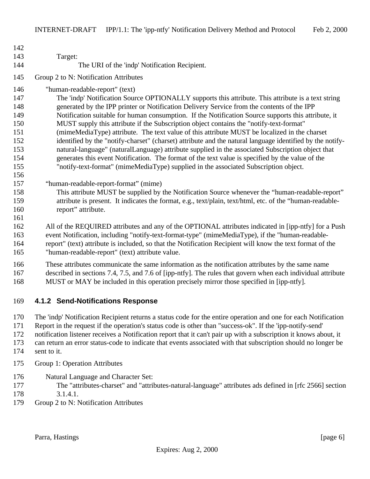| 142<br>143 | Target:                                                                                                     |
|------------|-------------------------------------------------------------------------------------------------------------|
| 144        | The URI of the 'indp' Notification Recipient.                                                               |
| 145        | Group 2 to N: Notification Attributes                                                                       |
|            |                                                                                                             |
| 146        | "human-readable-report" (text)                                                                              |
| 147        | The 'indp' Notification Source OPTIONALLY supports this attribute. This attribute is a text string          |
| 148        | generated by the IPP printer or Notification Delivery Service from the contents of the IPP                  |
| 149        | Notification suitable for human consumption. If the Notification Source supports this attribute, it         |
| 150        | MUST supply this attribute if the Subscription object contains the "notify-text-format"                     |
| 151        | (mimeMediaType) attribute. The text value of this attribute MUST be localized in the charset                |
| 152        | identified by the "notify-charset" (charset) attribute and the natural language identified by the notify-   |
| 153        | natural-language" (naturalLanguage) attribute supplied in the associated Subscription object that           |
| 154        | generates this event Notification. The format of the text value is specified by the value of the            |
| 155        | "notify-text-format" (mimeMediaType) supplied in the associated Subscription object.                        |
| 156        |                                                                                                             |
| 157        | "human-readable-report-format" (mime)                                                                       |
| 158        | This attribute MUST be supplied by the Notification Source whenever the "human-readable-report"             |
| 159<br>160 | attribute is present. It indicates the format, e.g., text/plain, text/html, etc. of the "human-readable-    |
| 161        | report" attribute.                                                                                          |
| 162        | All of the REQUIRED attributes and any of the OPTIONAL attributes indicated in [ipp-ntfy] for a Push        |
| 163        | event Notification, including "notify-text-format-type" (mimeMediaType), if the "human-readable-            |
| 164        | report" (text) attribute is included, so that the Notification Recipient will know the text format of the   |
| 165        | "human-readable-report" (text) attribute value.                                                             |
|            |                                                                                                             |
| 166        | These attributes communicate the same information as the notification attributes by the same name           |
| 167        | described in sections 7.4, 7.5, and 7.6 of [ipp-ntfy]. The rules that govern when each individual attribute |
| 168        | MUST or MAY be included in this operation precisely mirror those specified in [ipp-ntfy].                   |

#### **4.1.2 Send-Notifications Response**

The 'indp' Notification Recipient returns a status code for the entire operation and one for each Notification

Report in the request if the operation's status code is other than "success-ok". If the 'ipp-notify-send'

- notification listener receives a Notification report that it can't pair up with a subscription it knows about, it
- can return an error status-code to indicate that events associated with that subscription should no longer be
- sent to it.
- Group 1: Operation Attributes
- Natural Language and Character Set:
- The "attributes-charset" and "attributes-natural-language" attributes ads defined in [rfc 2566] section 3.1.4.1.
- Group 2 to N: Notification Attributes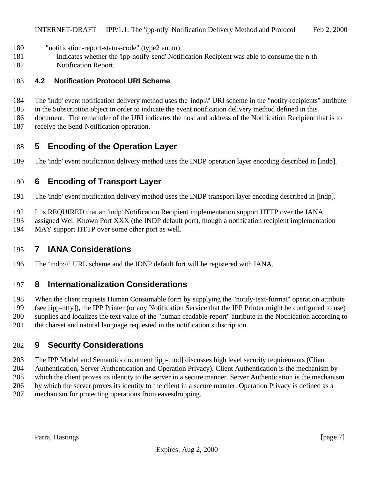- "notification-report-status-code" (type2 enum)
- Indicates whether the 'ipp-notify-send' Notification Recipient was able to consume the n-th
- Notification Report.

#### **4.2 Notification Protocol URI Scheme**

- The 'indp' event notification delivery method uses the 'indp://' URI scheme in the "notify-recipients" attribute
- in the Subscription object in order to indicate the event notification delivery method defined in this
- document. The remainder of the URI indicates the host and address of the Notification Recipient that is to
- receive the Send-Notification operation.

## **5 Encoding of the Operation Layer**

The 'indp' event notification delivery method uses the INDP operation layer encoding described in [indp].

### **6 Encoding of Transport Layer**

- The 'indp' event notification delivery method uses the INDP transport layer encoding described in [indp].
- It is REQUIRED that an 'indp' Notification Recipient implementation support HTTP over the IANA
- assigned Well Known Port XXX (the INDP default port), though a notification recipient implementation
- MAY support HTTP over some other port as well.

## **7 IANA Considerations**

The 'indp://' URL scheme and the IDNP default fort will be registered with IANA.

## **8 Internationalization Considerations**

 When the client requests Human Consumable form by supplying the "notify-text-format" operation attribute (see [ipp-ntfy]), the IPP Printer (or any Notification Service that the IPP Printer might be configured to use) supplies and localizes the text value of the "human-readable-report" attribute in the Notification according to the charset and natural language requested in the notification subscription.

## **9 Security Considerations**

 The IPP Model and Semantics document [ipp-mod] discusses high level security requirements (Client Authentication, Server Authentication and Operation Privacy). Client Authentication is the mechanism by which the client proves its identity to the server in a secure manner. Server Authentication is the mechanism by which the server proves its identity to the client in a secure manner. Operation Privacy is defined as a mechanism for protecting operations from eavesdropping.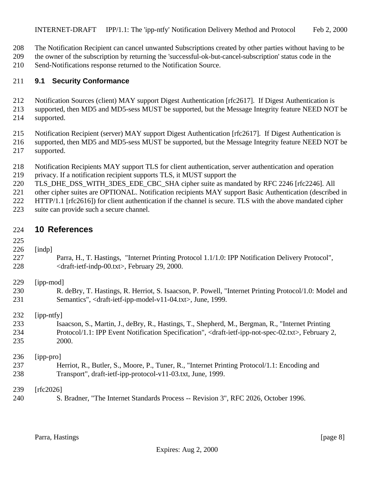The Notification Recipient can cancel unwanted Subscriptions created by other parties without having to be

 the owner of the subscription by returning the 'successful-ok-but-cancel-subscription' status code in the Send-Notifications response returned to the Notification Source.

#### **9.1 Security Conformance**

- Notification Sources (client) MAY support Digest Authentication [rfc2617]. If Digest Authentication is
- supported, then MD5 and MD5-sess MUST be supported, but the Message Integrity feature NEED NOT be supported.
- Notification Recipient (server) MAY support Digest Authentication [rfc2617]. If Digest Authentication is supported, then MD5 and MD5-sess MUST be supported, but the Message Integrity feature NEED NOT be supported.
- Notification Recipients MAY support TLS for client authentication, server authentication and operation
- privacy. If a notification recipient supports TLS, it MUST support the
- 220 TLS DHE DSS WITH 3DES EDE CBC SHA cipher suite as mandated by RFC 2246 [rfc2246]. All
- 221 other cipher suites are OPTIONAL. Notification recipients MAY support Basic Authentication (described in
- HTTP/1.1 [rfc2616]) for client authentication if the channel is secure. TLS with the above mandated cipher
- suite can provide such a secure channel.

#### **10 References**

#### [indp]

 Parra, H., T. Hastings, "Internet Printing Protocol 1.1/1.0: IPP Notification Delivery Protocol", <draft-ietf-indp-00.txt>, February 29, 2000.

| 229 | [ipp-mod] |
|-----|-----------|
|-----|-----------|

 R. deBry, T. Hastings, R. Herriot, S. Isaacson, P. Powell, "Internet Printing Protocol/1.0: Model and Semantics", <draft-ietf-ipp-model-v11-04.txt>, June, 1999.

[ipp-ntfy]

 Isaacson, S., Martin, J., deBry, R., Hastings, T., Shepherd, M., Bergman, R., "Internet Printing Protocol/1.1: IPP Event Notification Specification", <draft-ietf-ipp-not-spec-02.txt>, February 2, 2000.

[ipp-pro]

 Herriot, R., Butler, S., Moore, P., Tuner, R., "Internet Printing Protocol/1.1: Encoding and Transport", draft-ietf-ipp-protocol-v11-03.txt, June, 1999.

[rfc2026]

S. Bradner, "The Internet Standards Process -- Revision 3", RFC 2026, October 1996.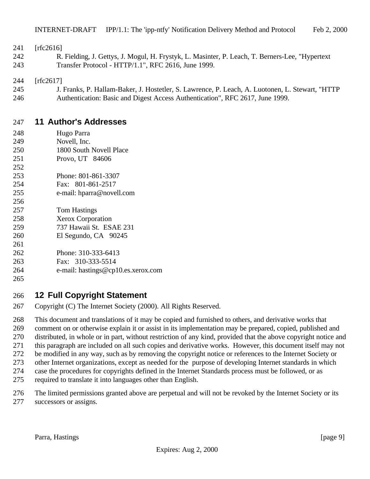241 [rfc2616]

 R. Fielding, J. Gettys, J. Mogul, H. Frystyk, L. Masinter, P. Leach, T. Berners-Lee, "Hypertext Transfer Protocol - HTTP/1.1", RFC 2616, June 1999.

[rfc2617]

 J. Franks, P. Hallam-Baker, J. Hostetler, S. Lawrence, P. Leach, A. Luotonen, L. Stewart, "HTTP Authentication: Basic and Digest Access Authentication", RFC 2617, June 1999.

#### **11 Author's Addresses**

- Hugo Parra
- Novell, Inc.
- 1800 South Novell Place
- Provo, UT 84606
- Phone: 801-861-3307
- Fax: 801-861-2517
- e-mail: hparra@novell.com
- Tom Hastings
- Xerox Corporation
- 737 Hawaii St. ESAE 231
- El Segundo, CA 90245
- 
- Phone: 310-333-6413
- Fax: 310-333-5514 e-mail: hastings@cp10.es.xerox.com

### 

## **12 Full Copyright Statement**

Copyright (C) The Internet Society (2000). All Rights Reserved.

 This document and translations of it may be copied and furnished to others, and derivative works that comment on or otherwise explain it or assist in its implementation may be prepared, copied, published and distributed, in whole or in part, without restriction of any kind, provided that the above copyright notice and this paragraph are included on all such copies and derivative works. However, this document itself may not be modified in any way, such as by removing the copyright notice or references to the Internet Society or other Internet organizations, except as needed for the purpose of developing Internet standards in which case the procedures for copyrights defined in the Internet Standards process must be followed, or as

- required to translate it into languages other than English.
- The limited permissions granted above are perpetual and will not be revoked by the Internet Society or its successors or assigns.